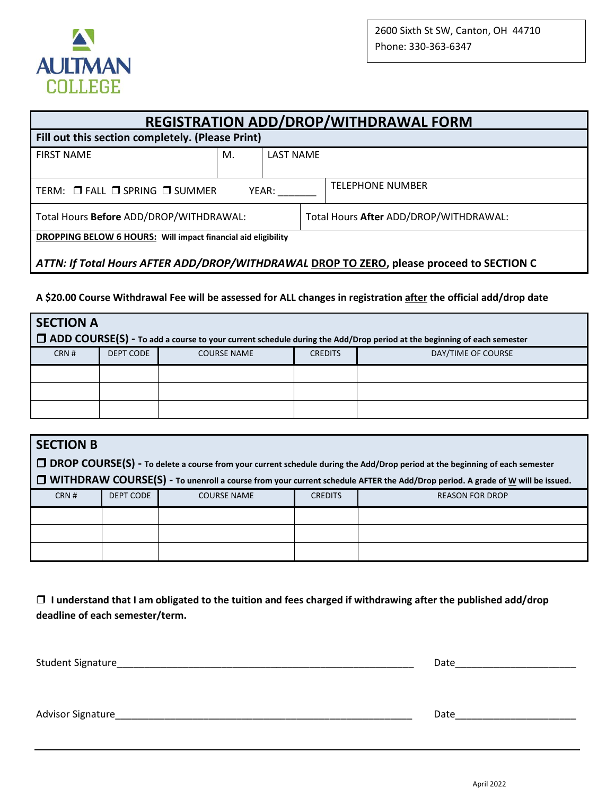

| <b>REGISTRATION ADD/DROP/WITHDRAWAL FORM</b>                         |    |                  |                                        |                                                                                          |  |
|----------------------------------------------------------------------|----|------------------|----------------------------------------|------------------------------------------------------------------------------------------|--|
| Fill out this section completely. (Please Print)                     |    |                  |                                        |                                                                                          |  |
| <b>FIRST NAME</b>                                                    | М. | <b>LAST NAME</b> |                                        |                                                                                          |  |
|                                                                      |    |                  |                                        |                                                                                          |  |
| TERM: □ FALL □ SPRING □ SUMMER<br>YEAR:                              |    |                  |                                        | <b>TELEPHONE NUMBER</b>                                                                  |  |
| Total Hours Before ADD/DROP/WITHDRAWAL:                              |    |                  | Total Hours After ADD/DROP/WITHDRAWAL: |                                                                                          |  |
| <b>DROPPING BELOW 6 HOURS:</b> Will impact financial aid eligibility |    |                  |                                        |                                                                                          |  |
|                                                                      |    |                  |                                        | ATTN: If Total Hours AFTER ADD/DROP/WITHDRAWAL DROP TO ZERO, please proceed to SECTION C |  |

**A \$20.00 Course Withdrawal Fee will be assessed for ALL changes in registration after the official add/drop date**

| <b>SECTION A</b><br>$\Box$ ADD COURSE(S) - To add a course to your current schedule during the Add/Drop period at the beginning of each semester |                  |                    |                |                    |  |  |  |
|--------------------------------------------------------------------------------------------------------------------------------------------------|------------------|--------------------|----------------|--------------------|--|--|--|
| CRN #                                                                                                                                            | <b>DEPT CODE</b> | <b>COURSE NAME</b> | <b>CREDITS</b> | DAY/TIME OF COURSE |  |  |  |
|                                                                                                                                                  |                  |                    |                |                    |  |  |  |
|                                                                                                                                                  |                  |                    |                |                    |  |  |  |
|                                                                                                                                                  |                  |                    |                |                    |  |  |  |

| <b>SECTION B</b> |           |                    |                |                                                                                                                                       |
|------------------|-----------|--------------------|----------------|---------------------------------------------------------------------------------------------------------------------------------------|
|                  |           |                    |                | □ DROP COURSE(S) - To delete a course from your current schedule during the Add/Drop period at the beginning of each semester         |
|                  |           |                    |                | <b>J</b> WITHDRAW COURSE(S) - To unenroll a course from your current schedule AFTER the Add/Drop period. A grade of W will be issued. |
| CRN#             | DEPT CODE | <b>COURSE NAME</b> | <b>CREDITS</b> | <b>REASON FOR DROP</b>                                                                                                                |
|                  |           |                    |                |                                                                                                                                       |
|                  |           |                    |                |                                                                                                                                       |
|                  |           |                    |                |                                                                                                                                       |

 **I understand that I am obligated to the tuition and fees charged if withdrawing after the published add/drop deadline of each semester/term.**

| Student Signature_ | Date |
|--------------------|------|
|                    |      |
|                    |      |
| Advisor Signature  | Date |
|                    |      |